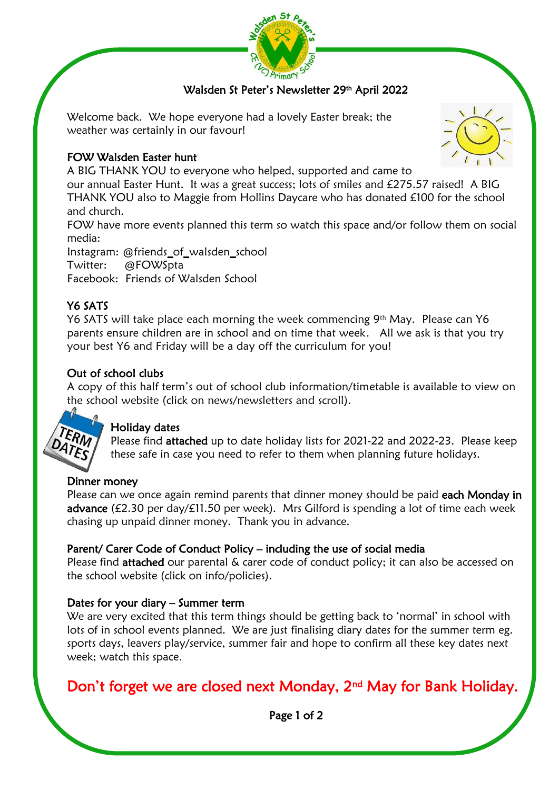

# Walsden St Peter's Newsletter 29th April 2022

Welcome back. We hope everyone had a lovely Easter break; the weather was certainly in our favour!

## FOW Walsden Easter hunt

A BIG THANK YOU to everyone who helped, supported and came to

our annual Easter Hunt. It was a great success; lots of smiles and £275.57 raised! A BIG THANK YOU also to Maggie from Hollins Daycare who has donated £100 for the school and church.

FOW have more events planned this term so watch this space and/or follow them on social media:

Instagram: @friends\_of\_walsden\_school Twitter: @FOWSpta Facebook: Friends of Walsden School

# Y6 SATS

Y6 SATS will take place each morning the week commencing 9<sup>th</sup> May. Please can Y6 parents ensure children are in school and on time that week. All we ask is that you try your best Y6 and Friday will be a day off the curriculum for you!

# Out of school clubs

A copy of this half term's out of school club information/timetable is available to view on the school website (click on news/newsletters and scroll).



J I

# Holiday dates

Please find attached up to date holiday lists for 2021-22 and 2022-23. Please keep these safe in case you need to refer to them when planning future holidays.

## Dinner money

Please can we once again remind parents that dinner money should be paid each Monday in advance (£2.30 per day/ $f11.50$  per week). Mrs Gilford is spending a lot of time each week chasing up unpaid dinner money. Thank you in advance.

# Parent/ Carer Code of Conduct Policy – including the use of social media

Please find attached our parental & carer code of conduct policy; it can also be accessed on the school website (click on info/policies).

## Dates for your diary – Summer term

We are very excited that this term things should be getting back to 'normal' in school with lots of in school events planned. We are just finalising diary dates for the summer term eg. sports days, leavers play/service, summer fair and hope to confirm all these key dates next week; watch this space.

# Don't forget we are closed next Monday, 2<sup>nd</sup> May for Bank Holiday.



Page 1 of 2